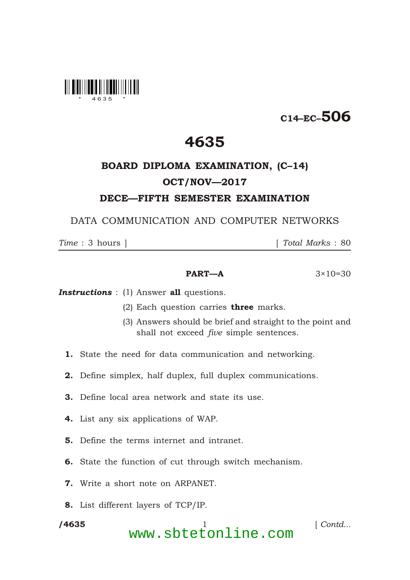

## C14–EC–506

### 4635

# BOARD DIPLOMA EXAMINATION, (C–14) OCT/NOV—2017

### DECE—FIFTH SEMESTER EXAMINATION

DATA COMMUNICATION AND COMPUTER NETWORKS

\*

*Time* : 3 hours ] [ *Total Marks* : 80

#### **PART—A**  $3 \times 10 = 30$

**Instructions** : (1) Answer all questions.

- (2) Each question carries **three** marks.
- (3) Answers should be brief and straight to the point and shall not exceed *five* simple sentences.
- 1. State the need for data communication and networking.
- 2. Define simplex, half duplex, full duplex communications.
- 3. Define local area network and state its use.
- 4. List any six applications of WAP.
- 5. Define the terms internet and intranet.
- 6. State the function of cut through switch mechanism.
- 7. Write a short note on ARPANET.
- 8. List different layers of TCP/IP.

/4635

/4635 1 [ *Contd...* www.sbtetonline.com